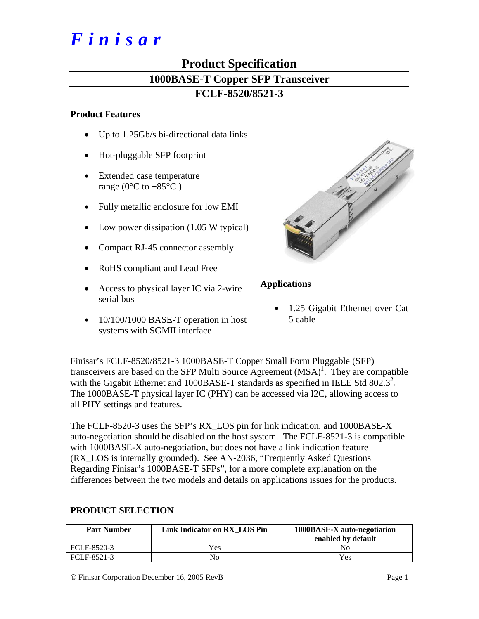# *Finisar*

# **Product Specification 1000BASE-T Copper SFP Transceiver FCLF-8520/8521-3**

#### **Product Features**

- Up to 1.25Gb/s bi-directional data links
- Hot-pluggable SFP footprint
- Extended case temperature range ( $0^{\circ}$ C to +85 $^{\circ}$ C)
- Fully metallic enclosure for low EMI
- Low power dissipation (1.05 W typical)
- Compact RJ-45 connector assembly
- RoHS compliant and Lead Free
- Access to physical layer IC via 2-wire serial bus
- 10/100/1000 BASE-T operation in host systems with SGMII interface



# **Applications**

1.25 Gigabit Ethernet over Cat 5 cable

Finisar's FCLF-8520/8521-3 1000BASE-T Copper Small Form Pluggable (SFP) transceivers are based on the SFP Multi Source Agreement  $(MSA)^{1}$ . They are compatible with the Gigabit Ethernet and 1000BASE-T standards as specified in IEEE Std  $802.3^2$ . The 1000BASE-T physical layer IC (PHY) can be accessed via I2C, allowing access to all PHY settings and features.

The FCLF-8520-3 uses the SFP's RX\_LOS pin for link indication, and 1000BASE-X auto-negotiation should be disabled on the host system. The FCLF-8521-3 is compatible with 1000BASE-X auto-negotiation, but does not have a link indication feature (RX\_LOS is internally grounded). See AN-2036, "Frequently Asked Questions Regarding Finisar's 1000BASE-T SFPs", for a more complete explanation on the differences between the two models and details on applications issues for the products.

# **PRODUCT SELECTION**

| <b>Part Number</b> | Link Indicator on RX LOS Pin | 1000BASE-X auto-negotiation<br>enabled by default |
|--------------------|------------------------------|---------------------------------------------------|
| FCLF-8520-3        | Yes                          | Nο                                                |
| FCLF-8521-3        | Nο                           | Yes                                               |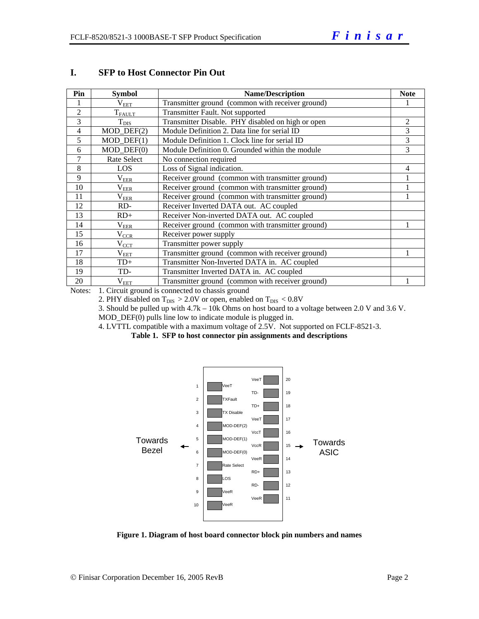| Pin            | <b>Symbol</b>               | <b>Name/Description</b>                           | <b>Note</b> |
|----------------|-----------------------------|---------------------------------------------------|-------------|
|                | $\rm V_{EET}$               | Transmitter ground (common with receiver ground)  |             |
| $\overline{2}$ | $T_{FAULT}$                 | Transmitter Fault. Not supported                  |             |
| 3              | $T_{DIS}$                   | Transmitter Disable. PHY disabled on high or open | 2           |
| 4              | $MOD_$ DEF $(2)$            | Module Definition 2. Data line for serial ID      | 3           |
| 5              | $MOD_$ <del>DEF</del> $(1)$ | Module Definition 1. Clock line for serial ID     | 3           |
| 6              | $MOD$ $DEF(0)$              | Module Definition 0. Grounded within the module   | 3           |
| 7              | Rate Select                 | No connection required                            |             |
| 8              | LOS                         | Loss of Signal indication.                        | 4           |
| 9              | $\rm V_{EER}$               | Receiver ground (common with transmitter ground)  |             |
| 10             | $\rm V_{EER}$               | Receiver ground (common with transmitter ground)  |             |
| 11             | $\rm V_{EER}$               | Receiver ground (common with transmitter ground)  |             |
| 12             | RD-                         | Receiver Inverted DATA out. AC coupled            |             |
| 13             | $RD+$                       | Receiver Non-inverted DATA out. AC coupled        |             |
| 14             | $\rm V_{EER}$               | Receiver ground (common with transmitter ground)  |             |
| 15             | $V_{CCR}$                   | Receiver power supply                             |             |
| 16             | $\rm V_{CCT}$               | Transmitter power supply                          |             |
| 17             | $\rm V_{EET}$               | Transmitter ground (common with receiver ground)  |             |
| 18             | $TD+$                       | Transmitter Non-Inverted DATA in. AC coupled      |             |
| 19             | TD-                         | Transmitter Inverted DATA in. AC coupled          |             |
| 20             | $\rm V_{EET}$               | Transmitter ground (common with receiver ground)  |             |

#### **I. SFP to Host Connector Pin Out**

Notes: 1. Circuit ground is connected to chassis ground

2. PHY disabled on  $T_{DIS} > 2.0V$  or open, enabled on  $T_{DIS} < 0.8V$ 

3. Should be pulled up with 4.7k – 10k Ohms on host board to a voltage between 2.0 V and 3.6 V.

MOD\_DEF(0) pulls line low to indicate module is plugged in.

4. LVTTL compatible with a maximum voltage of 2.5V. Not supported on FCLF-8521-3.

**Table 1. SFP to host connector pin assignments and descriptions** 



**Figure 1. Diagram of host board connector block pin numbers and names**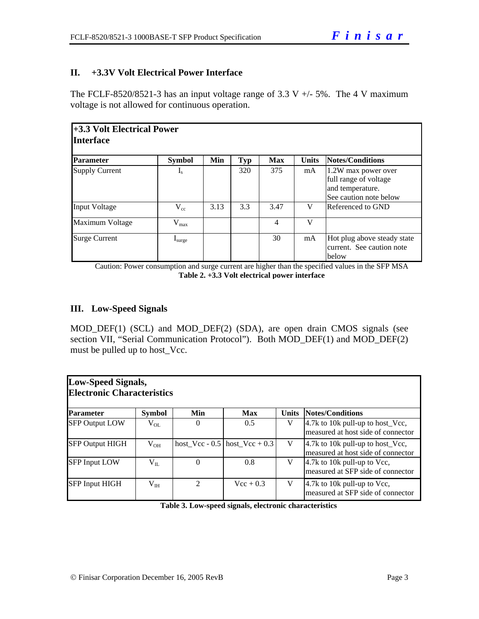# **II. +3.3V Volt Electrical Power Interface**

The FCLF-8520/8521-3 has an input voltage range of 3.3 V  $+/-$  5%. The 4 V maximum voltage is not allowed for continuous operation.

| +3.3 Volt Electrical Power<br><b>Interface</b> |                      |      |            |            |              |                                                                                            |  |
|------------------------------------------------|----------------------|------|------------|------------|--------------|--------------------------------------------------------------------------------------------|--|
| <b>Parameter</b>                               | <b>Symbol</b>        | Min  | <b>Typ</b> | <b>Max</b> | <b>Units</b> | <b>Notes/Conditions</b>                                                                    |  |
| <b>Supply Current</b>                          | $\mathbf{I}_{\rm S}$ |      | 320        | 375        | mA           | 1.2W max power over<br>full range of voltage<br>and temperature.<br>See caution note below |  |
| <b>Input Voltage</b>                           | $\rm V_{cc}$         | 3.13 | 3.3        | 3.47       | V            | Referenced to GND                                                                          |  |
| Maximum Voltage                                | $V_{max}$            |      |            | 4          | V            |                                                                                            |  |
| <b>Surge Current</b>                           | $I_{\text{surface}}$ |      |            | 30         | mA           | Hot plug above steady state<br>current. See caution note<br>below                          |  |

Caution: Power consumption and surge current are higher than the specified values in the SFP MSA **Table 2. +3.3 Volt electrical power interface**

### **III. Low-Speed Signals**

MOD\_DEF(1) (SCL) and MOD\_DEF(2) (SDA), are open drain CMOS signals (see section VII, "Serial Communication Protocol"). Both MOD\_DEF(1) and MOD\_DEF(2) must be pulled up to host\_Vcc.

| Low-Speed Signals,<br><b>Electronic Characteristics</b> |               |                |                                   |              |                                                                                            |  |  |  |  |  |
|---------------------------------------------------------|---------------|----------------|-----------------------------------|--------------|--------------------------------------------------------------------------------------------|--|--|--|--|--|
| <b>Parameter</b>                                        | <b>Symbol</b> | <b>Min</b>     | Max                               | <b>Units</b> | <b>Notes/Conditions</b>                                                                    |  |  |  |  |  |
| <b>SFP Output LOW</b>                                   | $V_{OL}$      | $\Omega$       | 0.5                               | V            | 4.7k to 10k pull-up to host_Vec,<br>measured at host side of connector                     |  |  |  |  |  |
| <b>SFP Output HIGH</b>                                  | $V_{OH}$      |                | host Vcc - $0.5$ host Vcc + $0.3$ | V            | $ 4.7k \text{ to } 10k \text{ pull-up to host_Vcc},$<br>measured at host side of connector |  |  |  |  |  |
| <b>SFP Input LOW</b>                                    | $V_{IL}$      | $\Omega$       | 0.8                               | V            | 4.7k to 10k pull-up to Vcc,<br>measured at SFP side of connector                           |  |  |  |  |  |
| <b>SFP Input HIGH</b>                                   | $\rm V_{IH}$  | $\mathfrak{D}$ | $Vec + 0.3$                       | V            | 4.7k to 10k pull-up to Vcc,<br>measured at SFP side of connector                           |  |  |  |  |  |

**Table 3. Low-speed signals, electronic characteristics**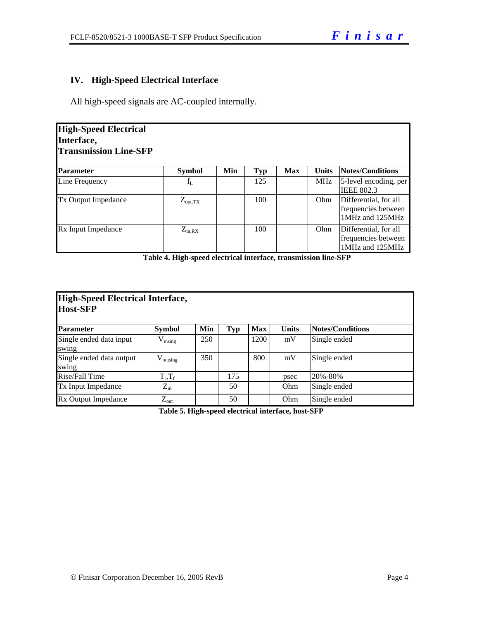# **IV. High-Speed Electrical Interface**

All high-speed signals are AC-coupled internally.

| <b>High-Speed Electrical</b><br>Interface,<br><b>Transmission Line-SFP</b> |                   |     |            |            |              |                                                                 |
|----------------------------------------------------------------------------|-------------------|-----|------------|------------|--------------|-----------------------------------------------------------------|
| <b>Parameter</b>                                                           | <b>Symbol</b>     | Min | <b>Typ</b> | <b>Max</b> | <b>Units</b> | Notes/Conditions                                                |
| Line Frequency                                                             | $f_{L}$           |     | 125        |            | <b>MHz</b>   | 5-level encoding, per<br><b>IEEE 802.3</b>                      |
| <b>Tx Output Impedance</b>                                                 | $Z_{\rm out, TX}$ |     | 100        |            | Ohm          | Differential, for all<br>frequencies between<br>1MHz and 125MHz |
| Rx Input Impedance                                                         | $Z_{in, RX}$      |     | 100        |            | Ohm          | Differential, for all<br>frequencies between<br>1MHz and 125MHz |

**Table 4. High-speed electrical interface, transmission line-SFP** 

| High-Speed Electrical Interface,<br><b>Host-SFP</b> |                           |     |            |            |              |                  |  |  |  |
|-----------------------------------------------------|---------------------------|-----|------------|------------|--------------|------------------|--|--|--|
| Parameter                                           | <b>Symbol</b>             | Min | <b>Typ</b> | <b>Max</b> | <b>Units</b> | Notes/Conditions |  |  |  |
| Single ended data input<br>swing                    | $V_{insing}$              | 250 |            | 1200       | mV           | Single ended     |  |  |  |
| Single ended data output<br>swing                   | $V_{\text{outsing}}$      | 350 |            | 800        | mV           | Single ended     |  |  |  |
| Rise/Fall Time                                      | $T_{\rm r}$ , $T_{\rm f}$ |     | 175        |            | psec         | 20%-80%          |  |  |  |
| Tx Input Impedance                                  | $Z_{\rm in}$              |     | 50         |            | Ohm          | Single ended     |  |  |  |
| Rx Output Impedance                                 | $Z_{\text{out}}$          |     | 50         |            | Ohm          | Single ended     |  |  |  |

**Table 5. High-speed electrical interface, host-SFP**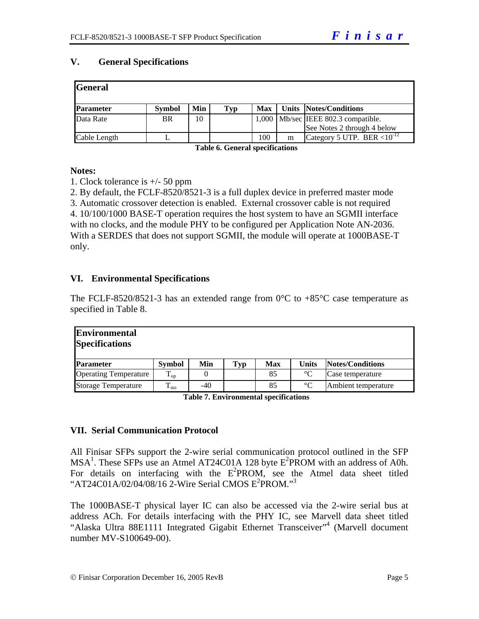### **V. General Specifications**

| <b>General</b>   |               |     |     |            |   |                                       |
|------------------|---------------|-----|-----|------------|---|---------------------------------------|
| <b>Parameter</b> | <b>Symbol</b> | Min | Typ | <b>Max</b> |   | <b>Units Notes/Conditions</b>         |
| Data Rate        | <b>BR</b>     | 10  |     |            |   | $1,000$ Mb/sec IEEE 802.3 compatible. |
|                  |               |     |     |            |   | See Notes 2 through 4 below           |
| Cable Length     |               |     |     | 100        | m | Category 5 UTP. BER $< 10^{-12}$      |

**Table 6. General specifications** 

#### **Notes:**

1. Clock tolerance is +/- 50 ppm

2. By default, the FCLF-8520/8521-3 is a full duplex device in preferred master mode

3. Automatic crossover detection is enabled. External crossover cable is not required 4. 10/100/1000 BASE-T operation requires the host system to have an SGMII interface with no clocks, and the module PHY to be configured per Application Note AN-2036. With a SERDES that does not support SGMII, the module will operate at 1000BASE-T only.

#### **VI. Environmental Specifications**

The FCLF-8520/8521-3 has an extended range from  $0^{\circ}$ C to +85<sup>o</sup>C case temperature as specified in Table 8.

| <b>Environmental</b><br><b>Specifications</b> |                           |       |            |     |                 |                     |
|-----------------------------------------------|---------------------------|-------|------------|-----|-----------------|---------------------|
| <b>Parameter</b>                              | <b>Symbol</b>             | Min   | <b>Typ</b> | Max | Units           | Notes/Conditions    |
| <b>Operating Temperature</b>                  | $\mathbf{1}_{\text{op}}$  |       |            | 85  | $\rm ^{\circ}C$ | Case temperature    |
| <b>Storage Temperature</b>                    | $\mathbf{I}_{\text{sto}}$ | $-40$ |            | 85  | $\rm ^{\circ}C$ | Ambient temperature |

**Table 7. Environmental specifications** 

#### **VII. Serial Communication Protocol**

All Finisar SFPs support the 2-wire serial communication protocol outlined in the SFP  $MSA<sup>1</sup>$ . These SFPs use an Atmel AT24C01A 128 byte  $E<sup>2</sup>$ PROM with an address of A0h. For details on interfacing with the  $E^2$ PROM, see the Atmel data sheet titled "AT24C01A/02/04/08/16 2-Wire Serial CMOS E<sup>2</sup>PROM."<sup>3</sup>

The 1000BASE-T physical layer IC can also be accessed via the 2-wire serial bus at address ACh. For details interfacing with the PHY IC, see Marvell data sheet titled "Alaska Ultra 88E1111 Integrated Gigabit Ethernet Transceiver"<sup>4</sup> (Marvell document number MV-S100649-00).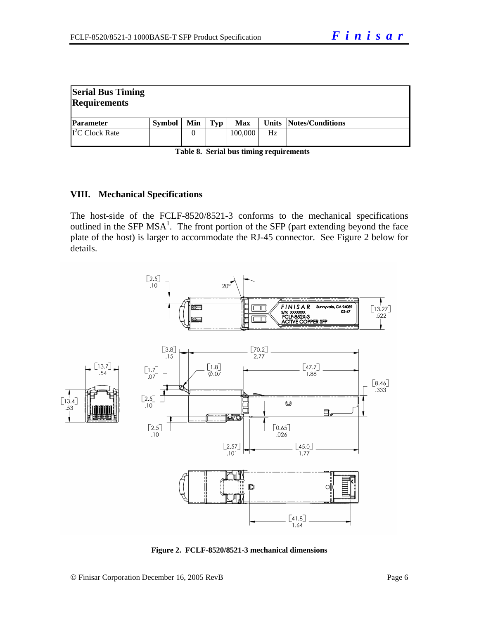| <b>Serial Bus Timing</b><br><b>Requirements</b> |               |     |     |            |    |                        |
|-------------------------------------------------|---------------|-----|-----|------------|----|------------------------|
| <b>Parameter</b>                                | <b>Symbol</b> | Min | Typ | <b>Max</b> |    | Units Notes/Conditions |
| $\overline{I}^2$ C Clock Rate                   |               |     |     | 100,000    | Hz |                        |

| Table 8. Serial bus timing requirements |  |
|-----------------------------------------|--|
|-----------------------------------------|--|

#### **VIII. Mechanical Specifications**

The host-side of the FCLF-8520/8521-3 conforms to the mechanical specifications outlined in the SFP MSA<sup>1</sup>. The front portion of the SFP (part extending beyond the face plate of the host) is larger to accommodate the RJ-45 connector. See Figure 2 below for details.



**Figure 2. FCLF-8520/8521-3 mechanical dimensions**